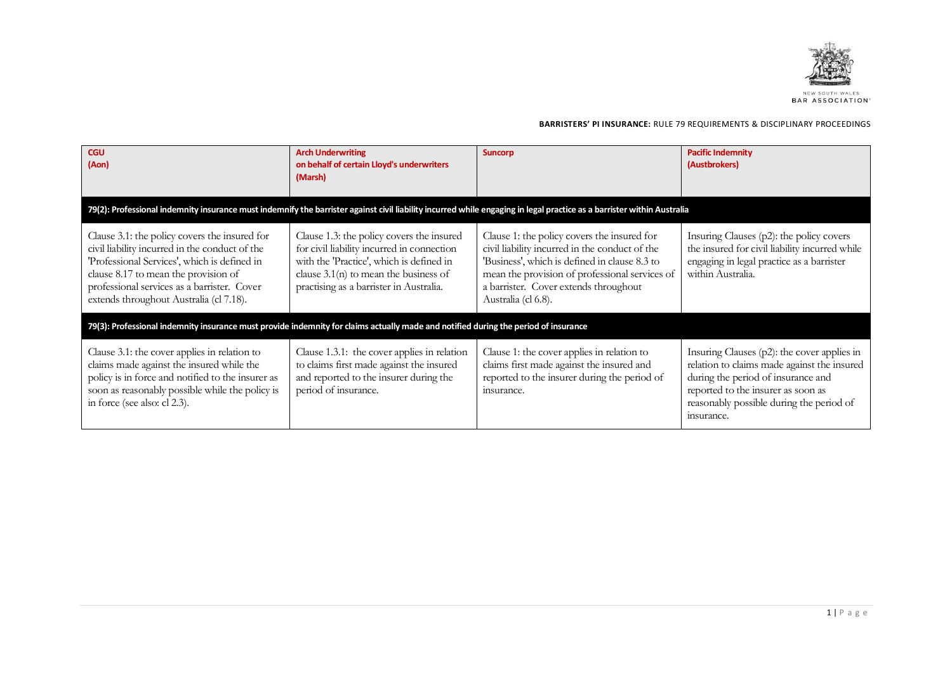

| <b>CGU</b><br>(Aon)                                                                                                                                                                                                                                                               | <b>Arch Underwriting</b><br>on behalf of certain Lloyd's underwriters<br>(Marsh)                                                                                                                                          | <b>Suncorp</b>                                                                                                                                                                                                                                                   | <b>Pacific Indemnity</b><br>(Austbrokers)                                                                                                                                                                                           |
|-----------------------------------------------------------------------------------------------------------------------------------------------------------------------------------------------------------------------------------------------------------------------------------|---------------------------------------------------------------------------------------------------------------------------------------------------------------------------------------------------------------------------|------------------------------------------------------------------------------------------------------------------------------------------------------------------------------------------------------------------------------------------------------------------|-------------------------------------------------------------------------------------------------------------------------------------------------------------------------------------------------------------------------------------|
|                                                                                                                                                                                                                                                                                   |                                                                                                                                                                                                                           | 79(2): Professional indemnity insurance must indemnify the barrister against civil liability incurred while engaging in legal practice as a barrister within Australia                                                                                           |                                                                                                                                                                                                                                     |
| Clause 3.1: the policy covers the insured for<br>civil liability incurred in the conduct of the<br>'Professional Services', which is defined in<br>clause 8.17 to mean the provision of<br>professional services as a barrister. Cover<br>extends throughout Australia (cl 7.18). | Clause 1.3: the policy covers the insured<br>for civil liability incurred in connection<br>with the 'Practice', which is defined in<br>clause $3.1(n)$ to mean the business of<br>practising as a barrister in Australia. | Clause 1: the policy covers the insured for<br>civil liability incurred in the conduct of the<br>'Business', which is defined in clause 8.3 to<br>mean the provision of professional services of<br>a barrister. Cover extends throughout<br>Australia (cl 6.8). | Insuring Clauses (p2): the policy covers<br>the insured for civil liability incurred while<br>engaging in legal practice as a barrister<br>within Australia.                                                                        |
| 79(3): Professional indemnity insurance must provide indemnity for claims actually made and notified during the period of insurance                                                                                                                                               |                                                                                                                                                                                                                           |                                                                                                                                                                                                                                                                  |                                                                                                                                                                                                                                     |
| Clause 3.1: the cover applies in relation to<br>claims made against the insured while the<br>policy is in force and notified to the insurer as<br>soon as reasonably possible while the policy is<br>in force (see also: cl 2.3).                                                 | Clause 1.3.1: the cover applies in relation<br>to claims first made against the insured<br>and reported to the insurer during the<br>period of insurance.                                                                 | Clause 1: the cover applies in relation to<br>claims first made against the insured and<br>reported to the insurer during the period of<br>insurance.                                                                                                            | Insuring Clauses $(p2)$ : the cover applies in<br>relation to claims made against the insured<br>during the period of insurance and<br>reported to the insurer as soon as<br>reasonably possible during the period of<br>insurance. |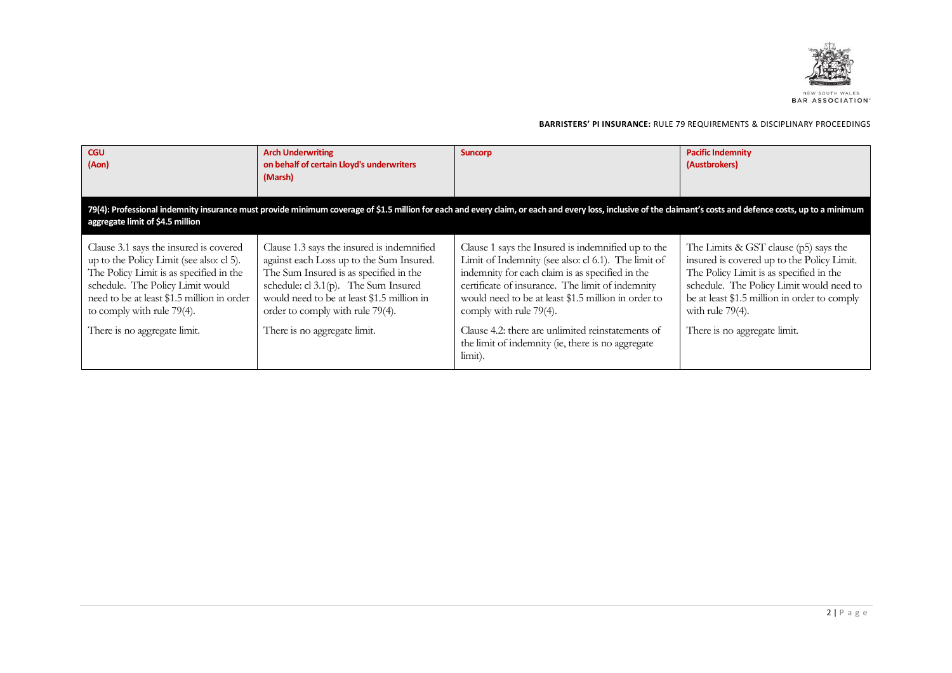

| <b>CGU</b><br>(Aon)                                                                                                                                                                                                                                                           | <b>Arch Underwriting</b><br>on behalf of certain Lloyd's underwriters<br>(Marsh)                                                                                                                                                                                                              | <b>Suncorp</b>                                                                                                                                                                                                                                                                                                                                          | <b>Pacific Indemnity</b><br>(Austbrokers)                                                                                                                                                                                                                                         |
|-------------------------------------------------------------------------------------------------------------------------------------------------------------------------------------------------------------------------------------------------------------------------------|-----------------------------------------------------------------------------------------------------------------------------------------------------------------------------------------------------------------------------------------------------------------------------------------------|---------------------------------------------------------------------------------------------------------------------------------------------------------------------------------------------------------------------------------------------------------------------------------------------------------------------------------------------------------|-----------------------------------------------------------------------------------------------------------------------------------------------------------------------------------------------------------------------------------------------------------------------------------|
| aggregate limit of \$4.5 million                                                                                                                                                                                                                                              |                                                                                                                                                                                                                                                                                               | 79(4): Professional indemnity insurance must provide minimum coverage of \$1.5 million for each and every claim, or each and every loss, inclusive of the claimant's costs and defence costs, up to a minimum                                                                                                                                           |                                                                                                                                                                                                                                                                                   |
| Clause 3.1 says the insured is covered<br>up to the Policy Limit (see also: cl 5).<br>The Policy Limit is as specified in the<br>schedule. The Policy Limit would<br>need to be at least \$1.5 million in order<br>to comply with rule 79(4).<br>There is no aggregate limit. | Clause 1.3 says the insured is indemnified<br>against each Loss up to the Sum Insured.<br>The Sum Insured is as specified in the<br>schedule: cl $3.1(p)$ . The Sum Insured<br>would need to be at least \$1.5 million in<br>order to comply with rule 79(4).<br>There is no aggregate limit. | Clause 1 says the Insured is indemnified up to the<br>Limit of Indemnity (see also: cl 6.1). The limit of<br>indemnity for each claim is as specified in the<br>certificate of insurance. The limit of indemnity<br>would need to be at least \$1.5 million in order to<br>comply with rule 79(4).<br>Clause 4.2: there are unlimited reinstatements of | The Limits & GST clause (p5) says the<br>insured is covered up to the Policy Limit.<br>The Policy Limit is as specified in the<br>schedule. The Policy Limit would need to<br>be at least \$1.5 million in order to comply<br>with rule $79(4)$ .<br>There is no aggregate limit. |
|                                                                                                                                                                                                                                                                               |                                                                                                                                                                                                                                                                                               | the limit of indemnity (ie, there is no aggregate<br>limit).                                                                                                                                                                                                                                                                                            |                                                                                                                                                                                                                                                                                   |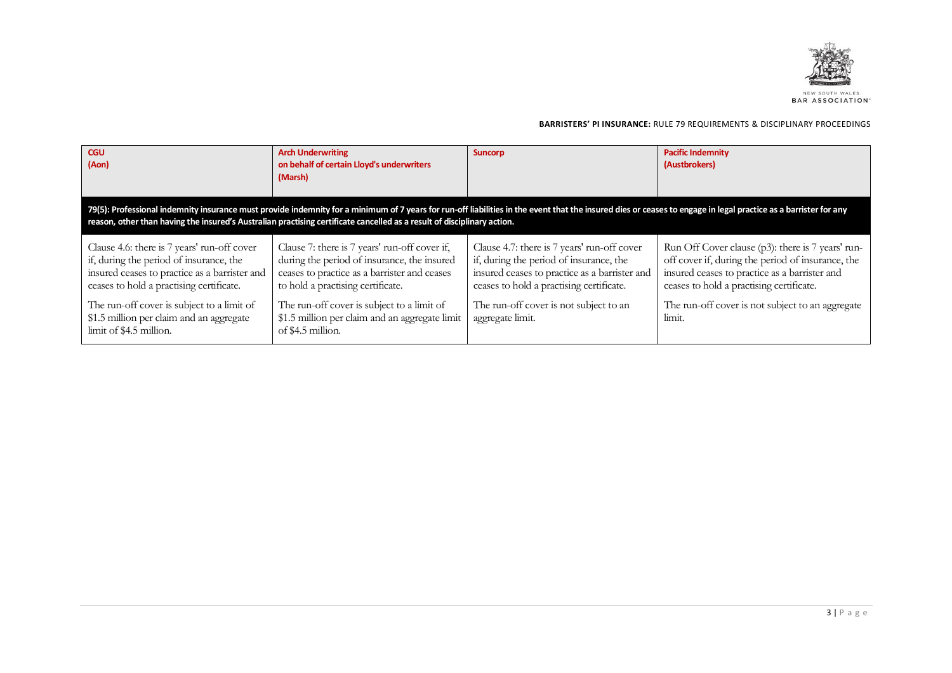

| <b>CGU</b><br>(Aon)                                                                                                                                                                                                                                                                                                                        | <b>Arch Underwriting</b><br>on behalf of certain Lloyd's underwriters<br>(Marsh)                                                                                                  | <b>Suncorp</b>                                                                                                                                                                      | <b>Pacific Indemnity</b><br>(Austbrokers)                                                                                                                                                           |
|--------------------------------------------------------------------------------------------------------------------------------------------------------------------------------------------------------------------------------------------------------------------------------------------------------------------------------------------|-----------------------------------------------------------------------------------------------------------------------------------------------------------------------------------|-------------------------------------------------------------------------------------------------------------------------------------------------------------------------------------|-----------------------------------------------------------------------------------------------------------------------------------------------------------------------------------------------------|
| 79(5): Professional indemnity insurance must provide indemnity for a minimum of 7 years for run-off liabilities in the event that the insured dies or ceases to engage in legal practice as a barrister for any<br>reason, other than having the insured's Australian practising certificate cancelled as a result of disciplinary action. |                                                                                                                                                                                   |                                                                                                                                                                                     |                                                                                                                                                                                                     |
| Clause 4.6: there is 7 years' run-off cover<br>if, during the period of insurance, the<br>insured ceases to practice as a barrister and<br>ceases to hold a practising certificate.                                                                                                                                                        | Clause 7: there is 7 years' run-off cover if,<br>during the period of insurance, the insured<br>ceases to practice as a barrister and ceases<br>to hold a practising certificate. | Clause 4.7: there is 7 years' run-off cover<br>if, during the period of insurance, the<br>insured ceases to practice as a barrister and<br>ceases to hold a practising certificate. | Run Off Cover clause (p3): there is 7 years' run-<br>off cover if, during the period of insurance, the<br>insured ceases to practice as a barrister and<br>ceases to hold a practising certificate. |
| The run-off cover is subject to a limit of<br>\$1.5 million per claim and an aggregate<br>limit of \$4.5 million.                                                                                                                                                                                                                          | The run-off cover is subject to a limit of<br>\$1.5 million per claim and an aggregate limit<br>of \$4.5 million.                                                                 | The run-off cover is not subject to an<br>aggregate limit.                                                                                                                          | The run-off cover is not subject to an aggregate<br>limit.                                                                                                                                          |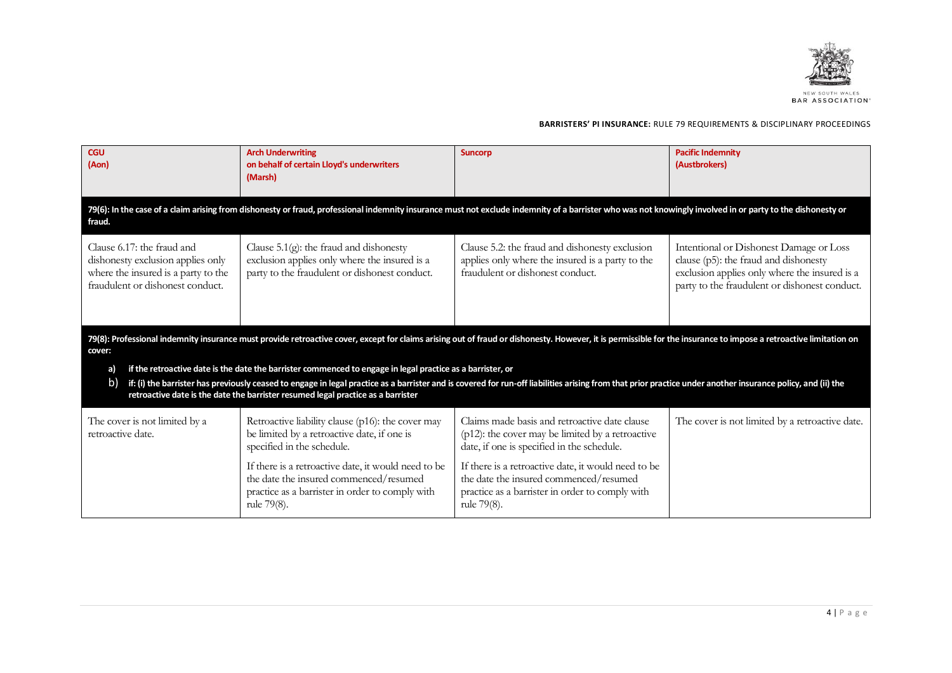

| <b>CGU</b><br>(Aon)                                                                                                                        | <b>Arch Underwriting</b><br>on behalf of certain Lloyd's underwriters<br>(Marsh)                                                                                                                                                                                                                                                                                                                              | <b>Suncorp</b>                                                                                                                                                  | <b>Pacific Indemnity</b><br>(Austbrokers)                                                                                                                                          |
|--------------------------------------------------------------------------------------------------------------------------------------------|---------------------------------------------------------------------------------------------------------------------------------------------------------------------------------------------------------------------------------------------------------------------------------------------------------------------------------------------------------------------------------------------------------------|-----------------------------------------------------------------------------------------------------------------------------------------------------------------|------------------------------------------------------------------------------------------------------------------------------------------------------------------------------------|
| fraud.                                                                                                                                     | 79(6): In the case of a claim arising from dishonesty or fraud, professional indemnity insurance must not exclude indemnity of a barrister who was not knowingly involved in or party to the dishonesty or                                                                                                                                                                                                    |                                                                                                                                                                 |                                                                                                                                                                                    |
| Clause 6.17: the fraud and<br>dishonesty exclusion applies only<br>where the insured is a party to the<br>fraudulent or dishonest conduct. | Clause $5.1(g)$ : the fraud and dishonesty<br>exclusion applies only where the insured is a<br>party to the fraudulent or dishonest conduct.                                                                                                                                                                                                                                                                  | Clause 5.2: the fraud and dishonesty exclusion<br>applies only where the insured is a party to the<br>fraudulent or dishonest conduct.                          | Intentional or Dishonest Damage or Loss<br>clause (p5): the fraud and dishonesty<br>exclusion applies only where the insured is a<br>party to the fraudulent or dishonest conduct. |
| cover:                                                                                                                                     | 79(8): Professional indemnity insurance must provide retroactive cover, except for claims arising out of fraud or dishonesty. However, it is permissible for the insurance to impose a retroactive limitation on                                                                                                                                                                                              |                                                                                                                                                                 |                                                                                                                                                                                    |
| a)<br>b)                                                                                                                                   | if the retroactive date is the date the barrister commenced to engage in legal practice as a barrister, or<br>if: (i) the barrister has previously ceased to engage in legal practice as a barrister and is covered for run-off liabilities arising from that prior practice under another insurance policy, and (ii) the<br>retroactive date is the date the barrister resumed legal practice as a barrister |                                                                                                                                                                 |                                                                                                                                                                                    |
| The cover is not limited by a<br>retroactive date.                                                                                         | Retroactive liability clause (p16): the cover may<br>be limited by a retroactive date, if one is<br>specified in the schedule.                                                                                                                                                                                                                                                                                | Claims made basis and retroactive date clause<br>$(p12)$ : the cover may be limited by a retroactive<br>date, if one is specified in the schedule.              | The cover is not limited by a retroactive date.                                                                                                                                    |
|                                                                                                                                            | If there is a retroactive date, it would need to be<br>the date the insured commenced/resumed<br>practice as a barrister in order to comply with<br>rule 79(8).                                                                                                                                                                                                                                               | If there is a retroactive date, it would need to be<br>the date the insured commenced/resumed<br>practice as a barrister in order to comply with<br>rule 79(8). |                                                                                                                                                                                    |